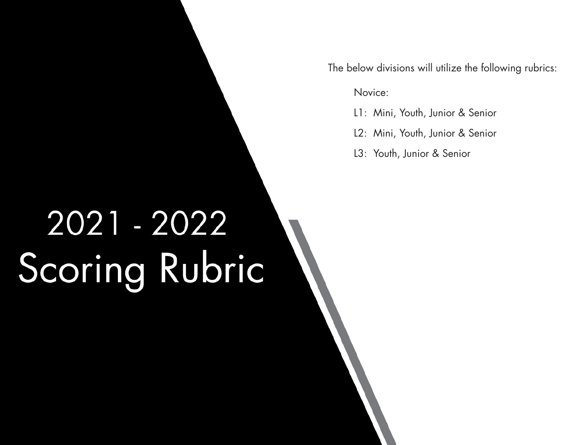The below divisions will utilize the following rubrics:

Novice:

- L1: Mini, Youth, Junior & Senior
- L2: Mini, Youth, Junior & Senior
- L3: Youth, Junior & Senior

## 2021 - 2022 Scoring Rubric